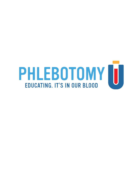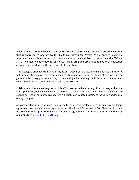PhlebotomyU, formerly known as Family Health Services Training Center, is a private institution that is approved to operate by the California Bureau for Private Postsecondary Education. Approval means this institution is in compliance with state standards as set forth in the CEC and 5, CCR. Neither PhlebotomyU nor any of its training programs are accredited by an accreditation agency recognized by the US Department of Education.

This catalog is effective from January 1, 2018 – December 31, 2018 and is updated annually. A pdf copy of the catalog may be e-mailed to students upon request. Students, as well as the general public, may print out a copy of the catalog when visiting the PhlebotomyU website at: [www.PhlebotomyU.com](http://www.phlebotomyu.com/) or by contacting us at (619) 294-2192.

PhlebotomyU has made every reasonable effort to ensure the accuracy of this catalog at the time it was published, however, we reserve the right to make changes to the catalog as needed. In the event a correction or update is made, we will publish an updated catalog to include an addendum of any changes.

As a prospective student you are encouraged to review this catalog prior to signing an enrollment agreement. You are also encouraged to review the School Performance Fact Sheet, which must be provided to you prior to signing an enrollment agreement. This information can be found on our website at [www.PhlebotomyU.com](http://www.phlebotomyu.com/).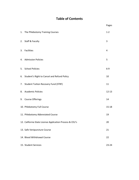# **Table of Contents**

|    |                                                          | Pages     |
|----|----------------------------------------------------------|-----------|
| 1. | The Phlebotomy Training Courses                          | $1 - 2$   |
|    | 2. Staff & Faculty                                       | 3         |
|    | 3. Facilities                                            | 4         |
|    | 4. Admission Policies                                    | 5         |
|    | 5. School Policies                                       | $6-9$     |
|    | 6. Student's Right to Cancel and Refund Policy           | 10        |
|    | 7. Student Tuition Recovery Fund (STRF)                  | 11        |
|    | 8. Academic Policies                                     | $12 - 13$ |
|    | 9. Course Offerings                                      | 14        |
|    | 10. Phlebotomy Full Course                               | $15 - 18$ |
|    | 11. Phlebotomy Abbreviated Course                        | 19        |
|    | 12. California State License Application Process & CEU's | 20        |
|    | 13. Safe Venipuncture Course                             | 21        |
|    | 14. Blood Withdrawal Course                              | 22        |
|    | 15. Student Services                                     | 23-24     |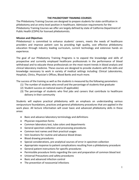#### **THE PHLEBOTOMY TRAINING COURSES**

The Phlebotomy Training Courses are designed to prepare students for state certification in phlebotomy and an entry level position in healthcare. Admission requirements for the Phlebotomy Training Courses we offer are largely defined by state of California Department of Public Health (CDPH) for licensed phlebotomists.

#### **Mission and Objectives**

PhlebotomyU is committed to enhance students' careers, meets the needs of healthcare providers and improve patient care by providing high quality, cost effective phlebotomy education through industry leading curriculum, current technology and extensive hands on experience.

The goal of our Phlebotomy Training Programs is to expand the knowledge and skills of prospective and currently employed healthcare professionals in the performance of blood withdrawal and to educate these professionals on the most recent trends in blood analysis and clinical laboratory medicine. These courses are designed to provide students with the skills and knowledge necessary to work in variety of medical settings including: Clinical Laboratories, Hospitals, Clinics, Physician's Offices, Blood Banks and much more.

The success of the training as well as the students is measured by the following parameters:

- (1) The number of students who enroll and the percentage of students that graduate
- (2) Student success on national exams (if applicable)
- (3) The percentage of students who find jobs and careers that contribute to healthcare delivery in their community

Students will explore practical phlebotomy with an emphasis on understanding various venipuncture foundations, practices and general phlebotomy procedures that are applied in the work place. All lecture information will cover basic and advanced phlebotomy skills in these areas:

- Basic and advance laboratory terminology and definitions
- Physician requisition forms
- Common laboratory test, tube colors and departments
- General specimen collection and processing procedures
- Common test names and their practical usages
- Vein locations for routine and advance blood draws
- Blood drawing procedures
- Special considerations, pre-analytical sources of error in specimen collection
- Appropriate response to patient complications resulting from a phlebotomy procedure
- General patient instructions for specific procedures
- Permissible procedure limits regarding the care and preparation of common blood test
- Universal Precautions and safety procedures
- Basic and advanced infection control
- The prevention of nosocomial infections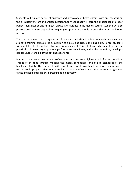Students will explore pertinent anatomy and physiology of body systems with an emphasis on the circulatory system and anticoagulation theory. Students will learn the importance of proper patient identification and its impact on quality assurance in the medical setting. Students will also practice proper waste disposal techniques (i.e. appropriate needle disposal sharps and biohazard waste).

The course covers a broad spectrum of concepts and skills involving not only academic and scientific training, but also the acquisition of clinical and critical thinking skills. Hence, students will simulate role play of both phlebotomist and patient. This will allow each student to gain the practical skills necessary to properly perform their techniques, and at the same time, develop a deeper understanding of the patient experience.

It is important that all health care professionals demonstrate a high standard of professionalism. This is often done through meeting the moral, confidential and ethical standards of the healthcare facility. Thus, students will learn: how to work together to achieve common workrelated goals, proper patient etiquette, basic concepts of communication, stress management, ethics and legal implications pertaining to phlebotomy.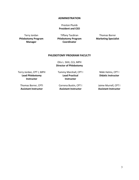#### **ADMINISTRATION**

## Preston Plumb **President and CEO**

Terry Jordan **Phlebotomy Program Manager**

Tiffany Tacdiran **Phlebotomy Program Coordinator**

Thomas Borrer **Marketing Specialist**

## **PHLEBOTOMY PROGRAM FACULTY**

Otis L. Stitt, CLS, MPH **Director of Phlebotomy**

Terry Jordan, CPT I, MPH **Lead Phlebotomy Instructor**

Tammy Marshall, CPT I **Lead Practical Instructor**

Nikki Helms, CPT I **Didatic Instructor**

Thomas Borrer, CPTI **Assistant Instructor**

Correna Bustin, CPT I **Assistant Instructor**

Jaime Murrell, CPT I **Assistant Instructor**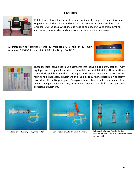## **FACILITIES**



PhlebotomyU has sufficient facilities and equipment to support the achievement objectives of all the courses and educational programs in which students are enrolled. Our facilities, which include heating and cooling, ventilation, lighting, classrooms, laboratories, and campus environs, are well-maintained.

All instruction for courses offered by PhlebotomyU is held on our main campus at 3500 5th Avenue, Suite# 203, San Diego, CA 92103.





These facilities include spacious classrooms that include blood draw stations, fully equipped and designed for students to simulate on-the-job training. These stations can include phlebotomy chairs equipped with lock-in mechanisms to prevent falling and all necessary equipment and supplies required to perform phlebotomy procedures like antiseptic, gauze, Sharps container, tourniquets, vacutainer tubes, lancets, winged infusion sets, vacutainer needles and hubs, and personal protective equipment.



Combination of Butterfly and Syringe SystemsCombination of Butterfly and ETS System





Left to right: Syringe Transfer Device, Engineered Safety Device and Luer-lock needle and assembly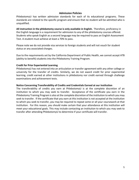## **Admission Policies**

PhlebotomyU has written admission standards for each of its educational programs. These standards are related to the specific program and ensure that no student will be admitted who is unqualified.

**All instruction in the phlebotomy course is only available in English.** Therefore, proficiency in the English language is a requirement for admission to any of the phlebotomy courses offered. Students who speak English as a second language may be required to pass an English Assessment Test. A student must achieve at least a 70% to pass.

Please note we do not provide visa services to foreign students and will not vouch for student status or any associated charges.

Due to the requirements set by the California Department of Public Health, we cannot accept ATB (ability to benefit) students into the Phlebotomy Training Program.

## **Credit for Prior Experiential Learning**

PhlebotomyU has not entered into an articulation or transfer agreement with any other college or university for the transfer of credits. Similarly, we do not award credit for prior experiential learning, credit earned at other institutions in phlebotomy nor credit earned through challenge examinations and achievement tests.

## **Notice Concerning Transferability of Credits and Credentials Earned at our Institution**

The transferability of credits you earn at PhlebotomyU is at the complete discretion of an institution to which you may seek to transfer. Acceptance of the certificate you earn in the Phlebotomy Training Program is also at the complete discretion of the institution to which you may seek to transfer. If the certificate that you earn at this institution is not accepted at the institution to which you seek to transfer, you may be required to repeat some or all your coursework at that institution. For this reason, you should make certain that your attendance at this institution will meet your educational goals. This may include contacting an institution to which you may seek to transfer after attending PhlebotomyU to determine if your certificate will transfer.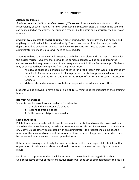## **SCHOOL POLICIES**

## **Attendance Policies**

*Students are expected to attend all classes of the course.* Attendance is important but is the responsibility of each student. There will be material discussed in class that is not in the text and can be included on the exams. The student is responsible to obtain any material missed due to an absence.

*Students are expected to report on time.* A grace period of fifteen minutes shall be applied and anything beyond that will be considered tardy. Three occurrences of tardiness and/or early departure will be considered an unexcused absence. Students will need to discuss with an administrator if a make-up class will need to be scheduled.

Students with up to 2 absences will be issued a verbal warning along with a makeup schedule for the classes missed. Students that accrue three or more absences will be excluded from the current course but may be re-instated to a subsequent class. Additional fees may apply. Students may be accredited hours completed from the previous class.

- An excused absence is defined as an absence for a valid reason that was pre-approved by the school office or absence due to illness provided the student presents a doctor's note
- Students are required to call and inform the school office for any foreseen absences or tardiness
- Make-up classes for absences are to be arranged with the administration office

Students will be allowed to have a break time of 10-15 minutes at the midpoint of their training hours.

## **Bar from Attendance**

Students may be barred from attendance for failure to:

- 1. Comply with PhlebotomyU's policies
- 2. Respond to official notices
- 3. Settle financial obligations when due

#### **Leave of Absence**

PhlebotomyU understands that life events may require the students to modify class enrollment and schedules. A student may provide a written request for a leave of absence up to a maximum of 30 days, unless otherwise discussed with an administrator. The request should include the reason for the leave of absence and the amount of time required. If approved, the student may be re-instated to a subsequent course upon their return.

If the student is using a third party for financial assistance, it is their responsibility to inform that organization of their leave of absence and to discuss any consequences that might occur as a result.

Notification of approval or denial will be returned to the student in writing within 48 hours. Unexcused leave of four or more consecutive classes will be taken as abandonment of the course.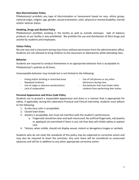## **Non-Discrimination Policy**

PhlebotomyU prohibits any type of discrimination or harassment based on race, ethnic group, national origin, religion, age, gender, sexual orientation, color, physical or mental disability, marital and/or veteran status.

#### **Smoking, Drugs and Alcohol Policy**

PhlebotomyU prohibits smoking in the facility as well as outside stairways. Sale of tobacco products at our facility is also prohibited. We prohibit the use and distribution of illicit drugs and alcohol by students and employees.

#### **Visitor Policy**

No one may visit a classroom during class hours without permission from the administration office. Students are not allowed to bring children to the classroom or laboratories while attending class.

#### **Behavior**

Students are required to conduct themselves in an appropriate behavior that is acceptable to PhlebotomyU's policies at all times.

Unacceptable behavior may include but is not limited to the following:

- Eating and/or drinking in restricted areas
- Repeated tardiness
- Use of vulgar or obscene words/actions
- Lack of cooperation
- Use of Cell phones or any other electronics during class
- Any behavior that may hinder other students from performing their duties

## **Personal Appearance and Dress Code Policy**

Students are to present a respectable appearance and dress in a manner that is appropriate for safety. If applicable, during the Laboratory Practical and Clinical Internship, students must adhere to the following:

- 1. Scrubs (any color is acceptable)
- 2. Closed toed shoes
- 3. Jewelry is acceptable, but must not interfere with the student's performance.
	- a. Fingernails should be clean and well-manicured. No artificial fingernails, nail jewelry or appliqués are permitted if there is any risk that they will inhibit safety or patient care
- 4. Tattoos, when visible, should not display sexual, violent or derogatory images or symbols

Students who do not meet the standards of this policy may be subjected to corrective action and may also be required to leave the premises. Any such leave will be considered as unexcused absences and will be in addition to any other appropriate corrective action.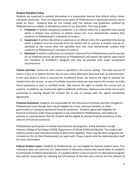## **Student Discipline Policy**

Students are expected to conduct themselves in a responsible manner that reflects ethics, honor and good citizenship. They are expected to be aware of PhlebotomyU's expressed policies and to abide by them. Students that do not comply with the policies and guidelines outlined by PhlebotomyU are subject to disciplinary action at our discretion. This may include:

- **Probation:** A written disciplinary probation is an official notice for a specified time during which a student may continue to attend classes but must demonstrate conduct that conforms to PhlebotomyU's standards of conduct.
- **Suspension:** A written disciplinary suspension is an official notice for a specified time during which a student must be removed from the facility and its courses. A student may be readmitted to the course after the specified time and must demonstrate conduct that conforms to PhlebotomyU's standard of conduct.
- **Dismissal:** A written notification of a student's dismissal from PhlebotomyU and its courses for an indefinite period. Re-admission to PhlebotomyU will require the specific approval of the President or President's designee and may be granted only under exceptional circumstances.

**Tuition and Fees:** Tuition for each course is specified in the course catalog. The total amount of tuition is due on or before the first day of class unless otherwise discussed with an administrator. In the case where a check is returned for insufficient funds, we reserve the right to exclude the student from the course. In case of multiple returned checks we may require the student to make future payments in cash or certified funds. We reserve the right to modify the course cost at anytime. In addition, we reserve the right to withhold certificates, diplomas and similar documents pertaining to training should the student fail to pay or comply with the signed Enrollment Agreement.

**Financial Assistance**: Students are responsible for the full amount of tuition and fees charged by PhlebotomyU even though they may be eligible for a loan, Veterans benefits, or other government or company-sponsored financial assistance. Students agree that eligibility for financial assistance under these programs is not controlled by PhlebotomyU, and makes no promise or representation that the student will be eligible to receive financial assistance or the amount of financial assistance.

PhlebotomyU participates in limited state financial aid programs. A few examples include Veterans Village of San Diego (VVSD), Department of Rehab (DOR) and MyCAA. The student will need to contact each individual facility to determine eligibility. There may be other programs not included on this list that PhlebotomyU can work with. Please inquire with the Administration staff for more information.

**Federal Student Loans:** Students at PhlebotomyU are not eligible for federal student loans. This institution does not meet the U.S. Department of Education criteria that would allow its students to participate in federal aid programs. If a student obtains a loan to pay for an educational program they will be responsible for repaying the full amount of the loan plus interest less the amount of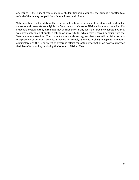any refund. If the student receives federal student financial aid funds, the student is entitled to a refund of the money not paid from federal financial aid funds.

**Veterans**: Many active duty military personnel, veterans, dependents of deceased or disabled veterans and reservists are eligible for Department of Veterans Affairs' educational benefits. If a student is a veteran, they agree that they will not enroll in any course offered by PhlebotomyU that was previously taken at another college or university for which they received benefits from the Veterans Administration. The student understands and agrees that they will be liable for any overpayment of Veterans' benefits if they do not comply. Students wishing to apply for programs administered by the Department of Veterans Affairs can obtain information on how to apply for their benefits by calling or visiting the Veterans' Affairs office.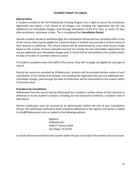## **STUDENT'S RIGHT TO CANCEL**

### **Refund Policy**

A student enrolled in the full Phlebotomy Training Program has a right to cancel the Enrollment Agreement and obtain a full refund of all charges, not including the registration fee nor any additional non-refundable charges, paid through attendance of the first class, or seven (7) days after enrollment, whichever is later. This is considered the **Cancellation Period**.

Should a student decide to withdraw after the Cancellation Period and has completed 60% or less of the course, they may be eligible for a partial refund. A student must provide a written notice of their decision to withdraw. The refund amount will be determined by a pro-rated hourly charge based on the number of hours attended and will not include the non-refundable registration fee nor any additional non-refundable charges paid. A refund will be transmitted to the student within 45 days of receipt of a written notice to cancel.

If a student completes more than 60% of the course, they will no longer be eligible for any type of refund.

Should the course be cancelled by PhlebotomyU, students will be provided written notice of such cancellation. A full refund of all charges, not including the registration fee nor any additional nonrefundable charges, paid through the date of notification will be transmitted to the student within 15 business days.

#### **Procedure for Cancellation**

Withdrawal from the course may be effectuated by a student's written notice of their decision to withdraw or by the student's conduct, including, but not necessarily limited to, a student's lack of attendance.

Written notification must be received by an administrator before the end of your Cancellation Period. The withdrawal notification letter should be addressed to the registrar and either e-mailed to info@PhlebotomyU.com or mailed to the following address:

> Registrar PhlebotomyU 3500 5th Avenue #203 San Diego, CA 92103

A refund will be transmitted to the student within 45 days of receipt of the written notice to cancel.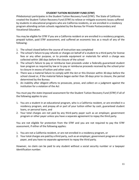## **STUDENT TUITION RECOVERY FUND (STRF)**

PhlebotomyU participates in the Student Tuition Recovery Fund (STRF). The State of California created the Student Tuition Recovery Fund (STRF) to relieve or mitigate economic losses suffered by students in educational programs who are California residents, or are enrolled in a residency program attending certain schools regulated by the Bureau for Private Postsecondary and Vocational Education.

You may be eligible for STRF if you are a California resident or are enrolled in a residency program, prepaid tuition, paid STRF assessment, and suffered an economic loss as a result of any of the following:

- 1. The school closed before the course of instruction was completed
- 2. The school's failure to pay refunds or charges on behalf of a student to a third party for license fees or any other purpose, or to provide equipment or materials for which a charge was collected within 180 days before the closure of the school
- 3. The school's failure to pay or reimburse loan proceeds under a federally guaranteed student loan program as required by law or to pay or reimburse proceeds received by the school prior to closure in excess of tuition and other costs
- 4. There was a material failure to comply with the Act or this Division within 30-days before the school closed or, if the material failure began earlier than 30-days prior to closure, the period determined by the Bureau
- 5. An inability after diligent efforts to prosecute, prove, and collect on a judgment against the institution for a violation of the Act

You must pay the state-imposed assessment for the Student Tuition Recovery Fund (STRF) if all of the following applies to you:

- 1. You are a student in an educational program, who is a California resident, or are enrolled in a residency program, and prepay all or part of your tuition either by cash, guaranteed student loans, or personal loans, and
- 2. Your total charges are not paid by any third-party payer such as an employer, government program or other payer unless you have a separate agreement to repay the third party.

You are not eligible for protection from the STRF and you are not required to pay the STRF assessment, if either of the following applies:

- 1. You are not a California resident, or are not enrolled in a residency program, or
- 2. Your total charges are paid by a third party, such as an employer, government program or other payer, and you have no separate agreement to repay the third party.

However, no claim can be paid to any student without a social security number or a taxpayer identification number.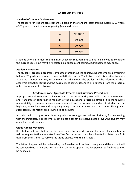## **ACADEMIC POLICIES**

## **Standard of Student Achievement**

The standard for student achievement is based on the standard letter grading system A-D, where a "C" grade is the minimum for passing (see chart below).

| А | 90-100% |
|---|---------|
| B | 80-89%  |
| C | 70-79%  |
| D | 60-69%  |

Students who fail to meet the minimum academic requirements will not be allowed to complete the current course but may be reinstated in a subsequent course. Additional fees may apply.

## **Academic Probation**

The students' academic progress is evaluated throughout the course. Students who are performing below a "C" grade are required to meet with the instructor. The Instructor will discuss the student's academic situation and may recommend remedial study. The student will be informed of their academic probation status and the possibility of being suspended or dismissed from the program unless improvement is observed.

## **Academic Grade Appellate Process and Grievance Procedures**

Appropriate faculty members at PhlebotomyU have the authority to establish course requirements and standards of performance for each of the educational programs offered. It is the faculty's responsibility to communicate course requirements and performance standards to students at the beginning of each course and to apply grading criteria in a timely and fair manner. Final grades submitted by the faculty are assumed to be accurate.

A student who has questions about a grade is encouraged to seek resolution by first consulting with the instructor. In cases where such an issue cannot be resolved at this level, the student may apply for a grade appeal.

## **Grade Appeal Procedure**

If a student believes that he or she has grounds for a grade appeal, the student may submit a written request to the administration office. Such a request must be submitted no later than 5 (5) days from the attempt to resolve the grade dispute with the instructor.

The letter of appeal will be reviewed by the President or President's designee and the student will be contacted with a final decision regarding the grade appeal. This decision will be final and cannot be appealed.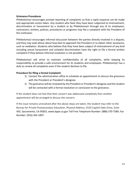## **Grievance Procedures**

PhlebotomyU encourages prompt reporting of complaints so that a rapid response can be made and appropriate action taken. Any student who feels they have been subjected to mistreatment, discrimination or harassment by a student or by PhlebotomyU through any of its employees, contractors, entities, policies, procedures or programs may file a complaint with the President of the institution.

PhlebotomyU encourages informal discussion between the parties directly involved in a dispute, and they may seek advice about how best to approach the President or to obtain other assistance, such as mediation. Students who believe that they have been subject of mistreatment of any kind including sexual harassment and unlawful discrimination have the right to file a formal written complaint if they believe informal resolution is not possible.

PhlebotomyU will strive to maintain confidentiality of all complaints, while keeping its responsibility to provide a safe environment for its students and employees. PhlebotomyU has a duty to review all complaints even if the student declines to file.

## **Procedure for filing a formal Complaint:**

- 1) Contact the administration office to schedule an appointment to discuss the grievance with the President or President's designee.
- 2) The grievance will be reviewed by the President or President's designee and the student will be contacted with a formal resolution or conclusion to the grievance.

If the student does not feel that their concern was addressed completely then another appointment will be arranged to discuss the concern.

If the issue remains unresolved after the above steps are taken, the student may refer to the Bureau for Private Postsecondary Education, Physical Address: 2535 Capitol Oaks Drive, Suite 400, Sacramento, CA 95833, [www.bppe.ca.gov](http://www.bppe.ca.gov/) Toll Free Telephone Number: [\(888\) 370-7589,](tel:(888)%20370-7589) Fax Number: [\(916\) 263-1897.](tel:(916)%20263-1897)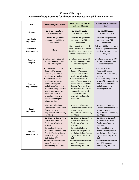## **Course Offerings Overview of Requirements for Phlebotomy Licensure Eligibility in California**

| Course                                   | <b>Phlebotomy Full Course</b>                                                                                                                                                                                                                                                                                                                                | <b>Phlebotomy Limited and</b><br><b>Advanced Course</b>                                                                                                                                                                                                                                                                               | <b>Phlebotomy Abbreviated</b><br>Course                                                                                                                                                                                                                                              |
|------------------------------------------|--------------------------------------------------------------------------------------------------------------------------------------------------------------------------------------------------------------------------------------------------------------------------------------------------------------------------------------------------------------|---------------------------------------------------------------------------------------------------------------------------------------------------------------------------------------------------------------------------------------------------------------------------------------------------------------------------------------|--------------------------------------------------------------------------------------------------------------------------------------------------------------------------------------------------------------------------------------------------------------------------------------|
| License                                  | Certified Phlebotomy<br>Technician I (CPT I)                                                                                                                                                                                                                                                                                                                 | <b>Certified Phlebotomy</b><br>Technician I (CPT I)                                                                                                                                                                                                                                                                                   | Certified Phlebotomy<br>Technician I (CPT I)                                                                                                                                                                                                                                         |
| Academic<br><b>Requirements</b>          | Must be a High school<br>graduate, pass GED or<br>equivalent                                                                                                                                                                                                                                                                                                 | Must be a High school<br>graduate, pass GED or<br>equivalent                                                                                                                                                                                                                                                                          | Must be a High school<br>graduate, pass GED or<br>equivalent                                                                                                                                                                                                                         |
| <b>Experience</b><br><b>Requirements</b> | <b>None</b>                                                                                                                                                                                                                                                                                                                                                  | More than 40 hours but less<br>than 1040 hours of on-the-<br>job Phlebotomy experience<br>within the past five years                                                                                                                                                                                                                  | At least 1040 hours or more<br>of on-the-job Phlebotomy<br>experience within the past<br>five years                                                                                                                                                                                  |
| <b>Training</b><br>Program               | Enroll and complete a CDPH<br>accredited Phlebotomy<br>Training Program.                                                                                                                                                                                                                                                                                     | Enroll and complete a CDPH<br>accredited Phlebotomy<br>Training Program.                                                                                                                                                                                                                                                              | Enroll and complete a CDPH<br>accredited Phlebotomy<br>Training Program.                                                                                                                                                                                                             |
| Program<br><b>Requirements</b>           | •Complete 40 hours of<br><b>Basic and Advanced</b><br>Didactic (classroom)<br>phlebotomy training<br>•Complete 40 hours<br>phlebotomy practice in a<br>clinical setting that<br>includes performance of<br>at least 50 venipunctures<br>and 10 skin punctures<br>and observation of<br>arterial punctures. of<br>practical training in a<br>clinical setting | •Complete 40 hours of<br><b>Basic and Advanced</b><br>Didactic (classroom)<br>phlebotomy training<br>•Complete at least 40<br>hours of experience in a<br>clinical setting in the last<br>5 years. This experience<br>must include at least 50<br>venipunctures and 10<br>skin punctures and<br>observation of arterial<br>punctures. | •Complete 20 hours of<br><b>Advanced Didactic</b><br>(classroom) phlebotomy<br>training<br>.Document completion of<br>at least 50 venipunctures<br>and 10 skin punctures<br>and observation of<br>arterial punctures.                                                                |
| Exam<br><b>Requirements</b>              | Must pass a National<br><b>Certification Examination</b><br>from a certifying<br>organization approved by<br>the CDPH.                                                                                                                                                                                                                                       | Must pass a National<br><b>Certification Examination</b><br>from a certifying<br>organization approved by<br>the CDPH.                                                                                                                                                                                                                | Must pass a National<br><b>Certification Examination</b><br>from a certifying<br>organization approved by<br>the CDPH.                                                                                                                                                               |
| Required<br><b>Documentation</b>         | •Certificate of Completion<br>from CDPH accredited<br><b>Phlebotomy Training</b><br>Program<br>•Completed California<br><b>Statement of Phlebotomy</b><br><b>Practical Training signed</b><br>by an MD, DO, PA, RN,<br>CLB, CLS or CPT.<br>·National Certificate from<br>a certifying agency<br>approved by the CDPH                                         | •Certificate of Completion<br>from CDPH accredited<br><b>Phlebotomy Training</b><br>Program<br>•Completed Letter of<br><b>Phlebotomy Experience</b><br>for California Certification<br>signed by an MD, DO or<br>CLB.<br>.National Certificate from<br>a certifying agency<br>approved by the CDPH                                    | •Certificate of Completion<br>from CDPH accredited<br>Phlebotomy Training<br>Program<br>•Completed Letter of<br>Phlebotomy Experience<br>for California Certification<br>signed by an MD, DO or<br>CLB.<br>.National Certificate from<br>a certifying agency<br>approved by the CDPH |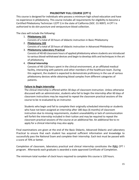## **PHLEBOTMY FULL COURSE (CPT I)**

This course is designed for individuals who possess a minimum high school education and have no experience in phlebotomy. This course includes all requirements for eligibility to become a Certified Phlebotomy Technician I (CPT I) in the state of California (SOC: 31-9097). A CPT I is authorized to do skin puncture and venipuncture blood collection.

The class will include the following:

- 1. **Phlebotomy 101** Consists of a total of 20 hours of didactic instruction in Basic Phlebotomy
- 2. **Phlebotomy 102** Consists of a total of 20 hours of didactic instruction in Advanced Phlebotomy
- 3. **Phlebotomy Laboratory Practical**

Consists of 40-60 classroom hours of applied phlebotomy where students are introduced to various blood-withdrawal devices and begin to develop skills and techniques in the art of phlebotomy

4. **Clinical Internship**

Consists of 40-120 hours spent in the clinical environment, at an affiliated medical facility, interacting with patients and other members of the healthcare team. During this segment, the student is expected to demonstrate proficiency in the use of various phlebotomy devices while obtaining blood samples from different categories of patients.

## **Failure to Begin Internship**

The clinical internship is offered within 30 days of classroom instruction. Unless otherwise discussed with an administrator, students who fail to begin the internship after 60 days of classroom instructions may be required to repeat the classroom practical sessions of the course to be re-evaluated by an instructor.

Students who begin and fail to complete their originally scheduled internship or students who have not been assigned an internship after 180 days (6 months) of classroom instruction due to missing requirements, student unavailability or lack of communication will forfeit the internship included in their tuition and may be required to repeat the classroom practical sessions of the course at an additional fee. An additional fee to reapply for a clinical internship may also apply.

Final examinations are given at the end of the Basic Didactic, Advanced Didactic and Laboratory Practical to ensure that each student has acquired sufficient information and knowledge to successfully pass the National Exam and complete their internship. Each test must be passed with a score of 70% or better.

Completion of classroom, laboratory practical and clinical internship constitutes the **FULL** CPT I program. Afterwards each graduate is awarded a state approved Certificate of Completion.

The minimum total number of clock hours required to complete this course is 120 hours.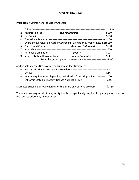## **COST OF TRAINING**

Phlebotomy Course Itemized List of Charges:

| 2. Registration Fee ----------------- (non-refundable) ----------------------------------\$150              |  |
|-------------------------------------------------------------------------------------------------------------|--|
|                                                                                                             |  |
|                                                                                                             |  |
| 5. Oversight & Evaluation (Career Counseling, Evaluation & Prep of Resume) \$150                            |  |
| 6. Background Check -----------------------------------(American Databank)------------- \$100               |  |
|                                                                                                             |  |
| 8. National Examination --------------------------------( <i>NCCT</i> )------------------------------- \$90 |  |
| 9. Student Tuition Recovery Fund -------------- (non-refundable) ----------------- \$-0-                    |  |
| Total charges for period of attendance -------------------------- \$2600                                    |  |

Additional Expenses Not Covered by Tuition or Registration Fee

| • Health Requirements (depending on individual's health providers) --------- \$100      |  |
|-----------------------------------------------------------------------------------------|--|
| • California State Phlebotomy License Application Fee --------------------------- \$100 |  |

Estimated schedule of total charges for the entire phlebotomy program ------------ \$2860

There are no charges paid to any entity that is not specifically required for participation in any of the courses offered by PhlebotomyU.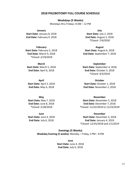#### **2018 PHLEBOTOMY FULL COURSE SCHEDULE**

#### **Weekdays (5 Weeks)**

Mondays thru Fridays: 8 AM – 12 PM

**January**

**Start Date:** January 8, 2018 **End Date:** February 9, 2018

**February**

**Start Date:** February 5, 2018 **End Date:** March 9, 2018 *\*Closed: 2/19/2018*

**March Start Date:** March 5, 2018 **End Date:** April 6, 2018

**April Start Date:** April 2, 2018 **End Date:** May 4, 2018

**May Start Date:** May 7, 2018 **End Date:** June 8, 2018 *\*Closed: 5/28/2018*

**June Start Date:** June 4, 2018 **End Date:** July 6, 2018

**July**

**Start Date:** July 2, 2018 **End Date:** August 3, 2018 *\*Closed: 7/4/2018* 

**August Start Date:** August 6, 2018 **End Date:** September 7, 2018

**September Start Date:** September 4, 2018 **End Date:** October 5, 2018 *\*Closed: 9/3/2018*

**October Start Date:** October 1, 2018 **End Date:** November 2, 2018

**November Start Date:** November 5, 2018 **End Date:** December 7, 2018 *\*Closed: 11/22/2018 to 11/23/2018*

**December Start Date:** December 3, 2018 **End Date:** January 4, 2019 *\*Closed: 12/25/2018 and 1/1/2019*

**Evenings (5 Weeks) Weekday Evening (5 weeks):** Monday – Friday**,** 5 PM – 8 PM

> **June Start Date:** June 4, 2018 **End Date:** July 6, 2018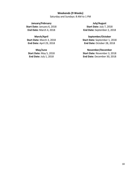## **Weekends (9 Weeks)**

Saturday and Sundays: 8 AM to 1 PM

**January/February Start Date:** January 6, 2018 **End Date:** March 4, 2018

# **March/April**

**Start Date:** March 3, 2018 **End Date:** April 29, 2018

**May/June Start Date:** May 5, 2018 **End Date:** July 1, 2018

**July/August Start Date:** July 7, 2018 **End Date:** September 2, 2018

### **September/October**

**Start Date:** September 1, 2018 **End Date:** October 28, 2018

#### **November/December**

**Start Date:** November 3, 2018 **End Date:** December 30, 2018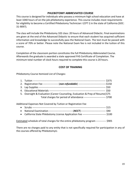## **PHLEBOTOMY ABBREVIATED COURSE**

This course is designed for individuals who possess a minimum high school education and have at least 1040 hours of on-the-job phlebotomy experience. This course includes most requirements for eligibility to become a Certified Phlebotomy Technician I (CPT I) in the state of California (SOC: 31-9097).

The class will include the Phlebotomy 102 class: 20 hours of Advanced Didactic. Final examinations are given at the end of the Advanced Didactic to ensure that each student has acquired sufficient information and knowledge to successfully pass the National Exam. The test must be passed with a score of 70% or better. Please note the National Exam fee is not included in the tuition of this course.

Completion of the classroom portion constitutes the full Phlebotomy Abbreviated Course. Afterwards the graduate is awarded a state approved FHS Certificate of Completion. The minimum total number of clock hours required to complete this course is 20 hours.

## **COST OF TRAINING**

Phlebotomy Course Itemized List of Charges:

|                                                                                                | \$375      |
|------------------------------------------------------------------------------------------------|------------|
| 2. Registration Fee ----------------- (non-refundable) ----------------------------------\$150 |            |
|                                                                                                |            |
|                                                                                                | <b>S50</b> |
| 5. Oversight & Evaluation (Career Counseling, Evaluation & Prep of Resume) \$75                |            |
| Total charges for period of attendance -------------------------- \$700                        |            |
|                                                                                                |            |

Additional Expenses Not Covered by Tuition or Registration Fee

- Scrubs ---------------------------------------------------------------------------------------- \$15
- National Examination -------------------------------(*NCCT*)------------------------------- \$90
- California State Phlebotomy License Application Fee ---------------------------- \$100

Estimated schedule of total charges for the entire phlebotomy program ------------ \$905

There are no charges paid to any entity that is not specifically required for participation in any of the courses offered by PhlebotomyU.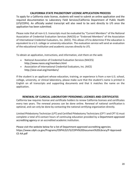## **CALIFORNIA STATE PHLEBOTOMY LICENSE APPLICATION PROCESS**

To apply for a California state license, students will need to submit an online application and the required documentation to Laboratory Field Services/California Department of Public Health (LFS/CDPH). An officially sealed transcript will also need to be sent directly to LFS once the application has been submitted.

Please note that all non-U.S. transcripts must be evaluated by "Current Members" of the National Association of Credential Evaluation Services (NACES) or "Endorsed Members" of the Association of International Credential Evaluators, Inc. (AICE). This allows LFS to determine if the education is equivalent to a U.S. college or university education. The evaluation service will send an evaluation of the educational institution and academic courses directly to LFS.

To obtain an application, instructions, and information, visit them on the web:

- National Association of Credential Evaluation Services (NACES) <http://www.naces.org/members.html>
- Association of International Credential Evaluators, Inc. (AICE) <http://aice-eval.org/members/>

If the student is an applicant whose education, training, or experience is from a non-U.S. school, college, university, or clinical laboratory, please make sure that the student's name is printed in English on all transcripts and supporting documents and that it matches the name on the application.

## **RENEWAL OF CLINICAL LABORATORY PERSONNEL LICENSES AND CERTIFICATES**

California law requires license and certificate holders to renew California licenses and certificates every two years. The renewal process can be done online. Renewal of national certification is optional, and can only be done by contacting the national certifying organization directly.

Limited Phlebotomy Technician (LPT) and Certified Phlebotomy Technicians (CPT I and CPT II) must complete a total of 6 contact hours of continuing education provided by a Department-approved accrediting agency or an accredited academic institution.

Please visit the website below for a list of Department-approved accrediting agencies. [https://www.cdph.ca.gov/Programs/OSPHLD/LFS/CDPH%20Document%20Library/P-Approved-](https://www.cdph.ca.gov/Programs/OSPHLD/LFS/CDPH%20Document%20Library/P-Approved-CE-AA.pdf)[CE-AA.pdf](https://www.cdph.ca.gov/Programs/OSPHLD/LFS/CDPH%20Document%20Library/P-Approved-CE-AA.pdf)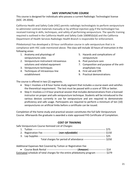## **SAFE VENIPUNCTURE COURSE**

This course is designed for individuals who possess a current Radiologic Technologist license (SOC: 29-2034).

California Health and Safety Code (HSC) permits radiologic technologists to perform venipuncture to administer contrast materials manually or by artificial injection only if the technologist has received training in skills, techniques, and safety of performing venipuncture. The specific training required is outlined in the California Health and Safety Code 106985(b)(d) and the California Department of Health Services Radiologic Health Branch is responsible for enforcement.

PhlebotomyU has developed a 10-hour certification course in safe venipuncture that is in compliance with HSC code mentioned above. The class will include 10 hours of instruction in the following areas:

- 1. Anatomy and physiology of venipunctures sites
- 2. Venipuncture instrument intravenous solutions and related equipment
- 3. Venipuncture techniques
- 4. Techniques of intravenous line establishment
- 5. Hazards and complications of venipuncture
- 6. Post puncture care
- 7. Composition and purpose of the antianaphylaxis tray
- 8. First aid and CPR
- 9. Practical demonstrations

The course is offered in two (2) segments.

- Step I: Involves a 6-8 hour home study segment that includes a course exam and satisfies the theoretical requirement. The test must be passed with a score of 70% or better.
- Step II: Involves a 2-4 hour practical session that includes demonstrations from a licensed instructor on proper and safe venipuncture technique. Students will be introduced to the various devices currently in use for venipuncture and are required to demonstrate proficiency and safe usage. Participants are required to perform a minimum of ten (10) venipunctures on artificial limbs before a certificate can be issued.

Completion of the home study and practical session constitutes the full Safe Venipuncture Course. Afterwards the graduate is awarded a state approved FHS Certificate of Completion.

## **COST OF TRAINING**

Safe Venipuncture Course Itemized List of Charges:

|                                                               | --- S75  |
|---------------------------------------------------------------|----------|
| $(non-refundable)$ ----<br>2. Registration Fee -------------- | ---\$150 |
| 3. Lap Supplies ---                                           | - \$25   |
| Total charges for period of attendance -                      | \$250    |

Additional Expenses Not Covered by Tuition or Registration Fee

| Estimated schedule of total charges for the entire phlebotomy program ------------ \$279 |  |  |  |
|------------------------------------------------------------------------------------------|--|--|--|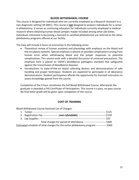## **BLOOD WITHDRAWAL COURSE**

This course is designed for individuals who are currently employed as a Research Assistant in a non-diagnostic setting (19-4061). This course is **not** designed to prepare individuals for a career in phlebotomy. It serves as continuing education for individuals currently employed in medical research where obtaining human blood samples maybe included among other job duties. Individuals interested in becoming a licensed or certified phlebotomist are referred to the other phlebotomy programs offered at our facility.

The class will include 4 hours of instruction in the following areas:

- Theoretical review of human anatomy and physiology with emphasis on the blood and the circulatory systems. Special emphasis is placed on possible complications arising from human error when withdrawing blood and the proper responses to potential complications. This session ends with a detailed discussion of universal precautions. The emphasis here is placed on OSHA's bloodborne pathogens standard that safeguards against the transmission of bloodborne diseases.
- Introductions to state-of-the-art blood collecting devices and demonstrations of safe handling and proper techniques. Students are expected to participate in all laboratory demonstrations. Student participation affords the opportunity for licensed instructors to assess knowledge gained from the course.

Completion of the 4 hour constitutes the full Blood Withdrawal Course. Afterwards the graduate is awarded a FHS Certificate of Participation. This course is a pass, no-pass course. No final letter grade will be given upon completion of the course.

## **COST OF TRAINING**

| Blood Withdrawal Course Itemized List of Charges:                                               |       |
|-------------------------------------------------------------------------------------------------|-------|
|                                                                                                 |       |
| 2. Registration Fee ----------------- (non-refundable) -----------------------------------\$150 |       |
| 3. Lap Supplies -----                                                                           | \$25  |
| Total charges for period of attendance --------------------------                               | \$300 |
| Estimated schedule of total charges for the entire phlebotomy program ----------- \$300         |       |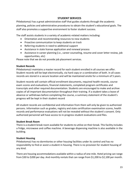## **STUDENT SERVICES**

PhlebotomyU has a great administrative staff that guides students through the academic planning, policies and administrative procedures to obtain the student's educational goals. The staff also promotes a supportive environment to foster student success.

The staff assists students in a variety of academic-related matters including:

- Orientation and recommending resources to new students
- Proactive communication to keep students on track
- Referring students in need to additional support
- Assistance in state license application and renewal process
- Assistance in career planning (i.e., career counseling, resume and cover letter review, job opportunities, etc)

Please note that we do not provide job placement services.

#### **Student Records**

PhlebotomyU maintains a master record for each student enrolled in all courses we offer. Student records will be kept electronically, via hard copy or a combination of both. In all cases records are stored in a secure location and will be maintained onsite for a minimum of 5 years.

Student records will contain official enrollment documents, required health records, course exam scores and evaluations, financial statements, completed program certificates and transcripts and other required documentation. Students are encouraged to make and archive copies of all important documentation throughout their training. If a student takes a leave of absence or withdraws before completing the course, a summary statement of the student's progress will be kept in their student record

All student records are confidential and information from them will only be given to authorized persons. Information such as grades, registry and state certification examination scores, health records and performance evaluations will not be revealed without the student's consent. Only authorized personnel will have access to in-progress student evaluations and files.

#### **Student Break Room**

There is a student break room available for students to utilize on their break. This facility includes a fridge, microwave and coffee machine. A beverage dispensing machine is also available in the building.

#### **Student Housing**

PhlebotomyU has no dormitories or other housing facilities under its control and has no responsibility to find or assist a student in housing. There is no provision for student housing of any kind.

There are housing accommodations available within a radius of one mile. Hotel pricing can range from \$30 to \$200 per day. And monthly rentals that can range from \$1,200 to \$2,100 per month.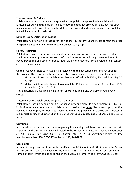## **Transportation & Parking**

PhlebotomyU does not provide transportation, but public transportation is available with stops located near our campus location. PhlebotomyU also does not provide parking, but free street parking is available around the facility. Metered parking and parking garages are also available, but will incur an additional cost.

## **National Exam Certification Testing**

PhlebotomyU offers on-site testing for the National Phlebotomy Exam. Please contact the office for specific dates and times or instructions on how to sign up.

## **Library Resources**

PhlebotomyU currently has no library facilities on site, but we will ensure that each student admitted to the programs has access to information resources including current editions of books, periodicals and other reference materials in contemporary formats related to all content areas of the curriculum.

On the first day of class each student is provided with the educational material required for their course. The following publications are also recommended for supplemental material.

- 1. McCall and Tankersley Phlebotomy Essentials  $6<sup>th</sup>$  ed (Pub. LWW; Sixth edition (May 20, 2015))
- 2. McCall and Tankersley Student Workbook for Phlebotomy Essentials  $6<sup>th</sup>$  ed (Pub. LWW; Sixth edition (May 20, 2015))

These materials are available online to rent and/or buy and is also available in retail book stores.

## **Statement of Financial Conditions** (Past and Present)

PhlebotomyU has no pending petition of bankruptcy and since its establishment in 1986, this institution has never operated as a debtor in possession, has never filed a bankruptcy petition nor had a bankruptcy petition filed against it within the preceding five years that resulted in reorganization under Chapter 11 of the United States Bankruptcy Code (11 U.S.C. Sec 1101 et seq.).

## **Questions**

Any questions a student may have regarding this catalog that have not been satisfactorily answered by the institution may be directed to the Bureau for Private Postsecondary Education at 2535 Capitol Oaks Drive, Suite 400, Sacramento, CA 95833, [www.bppe.ca.gov,](http://www.bppe.ca.gov/) toll-free telephone number (888) 370-7589 or by fax (916) 263-1897.

## **Complaints**

A student or any member of the public may file a complaint about this institution with the Bureau for Private Postsecondary Education by calling (888) 370-7589 toll-free or by completing a complaint form, which can be obtained on the bureau's internet Web site www.bppe.ca.gov.